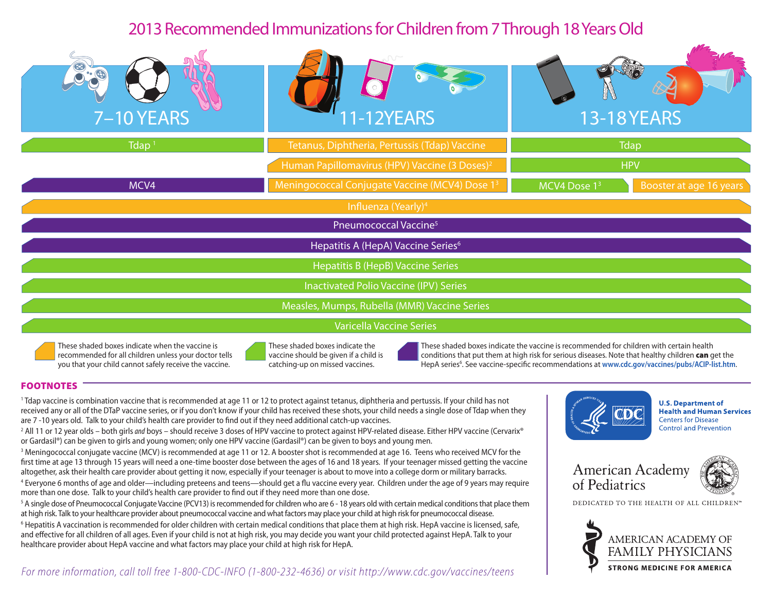# 2013 Recommended Immunizations for Children from 7 Through 18 Years Old

| $\circledcirc$<br>$\cdot \circledast$<br>7-10 YEARS | 1-12YEARS                                                  | <b>13-18YEARS</b>                                   |
|-----------------------------------------------------|------------------------------------------------------------|-----------------------------------------------------|
| $T$ dap <sup>1</sup>                                | Tetanus, Diphtheria, Pertussis (Tdap) Vaccine              | <b>Tdap</b>                                         |
|                                                     | Human Papillomavirus (HPV) Vaccine (3 Doses) <sup>2</sup>  | <b>HPV</b>                                          |
| MCV4                                                | Meningococcal Conjugate Vaccine (MCV4) Dose 1 <sup>3</sup> | MCV4 Dose 1 <sup>3</sup><br>Booster at age 16 years |
| Influenza (Yearly) <sup>4</sup>                     |                                                            |                                                     |
| Pneumococcal Vaccine <sup>5</sup>                   |                                                            |                                                     |
| Hepatitis A (HepA) Vaccine Series <sup>6</sup>      |                                                            |                                                     |
| Hepatitis B (HepB) Vaccine Series                   |                                                            |                                                     |
| <b>Inactivated Polio Vaccine (IPV) Series</b>       |                                                            |                                                     |
| Measles, Mumps, Rubella (MMR) Vaccine Series        |                                                            |                                                     |
| Varicella Vaccine Series                            |                                                            |                                                     |

These shaded boxes indicate when the vaccine is recommended for all children unless your doctor tells you that your child cannot safely receive the vaccine.



These shaded boxes indicate the vaccine should be given if a child is catching-up on missed vaccines.

These shaded boxes indicate the vaccine is recommended for children with certain health conditions that put them at high risk for serious diseases. Note that healthy children can get the HepA series<sup>6</sup>. See vaccine-specific recommendations at [www.cdc.gov/vaccines/pubs/ACIP-list.htm](http://www.cdc.gov/vaccines/pubs/ACIP-list.htm).

### FOOTNOTES

1 Tdap vaccine is combination vaccine that is recommended at age 11 or 12 to protect against tetanus, diphtheria and pertussis. If your child has not received any or all of the DTaP vaccine series, or if you don't know if your child has received these shots, your child needs a single dose of Tdap when they are 7 -10 years old. Talk to your child's health care provider to find out if they need additional catch-up vaccines.

2 All 11 or 12 year olds – both girls *and* boys – should receive 3 doses of HPV vaccine to protect against HPV-related disease. Either HPV vaccine (Cervarix® or Gardasil®) can be given to girls and young women; only one HPV vaccine (Gardasil®) can be given to boys and young men.

3 Meningococcal conjugate vaccine (MCV) is recommended at age 11 or 12. A booster shot is recommended at age 16. Teens who received MCV for the first time at age 13 through 15 years will need a one-time booster dose between the ages of 16 and 18 years. If your teenager missed getting the vaccine altogether, ask their health care provider about getting it now, especially if your teenager is about to move into a college dorm or military barracks.

4 Everyone 6 months of age and older—including preteens and teens—should get a flu vaccine every year. Children under the age of 9 years may require more than one dose. Talk to your child's health care provider to find out if they need more than one dose.

 $^5$  A single dose of Pneumococcal Conjugate Vaccine (PCV13) is recommended for children who are 6 - 18 years old with certain medical conditions that place them at high risk. Talk to your healthcare provider about pneumococcal vaccine and what factors may place your child at high risk for pneumococcal disease.

<sup>6</sup> Hepatitis A vaccination is recommended for older children with certain medical conditions that place them at high risk. HepA vaccine is licensed, safe, and effective for all children of all ages. Even if your child is not at high risk, you may decide you want your child protected against HepA. Talk to your healthcare provider about HepA vaccine and what factors may place your child at high risk for HepA.

*For more information, call toll free 1-800-CDC-INFO (1-800-232-4636) or visit [http://www.cdc.gov/vaccines/teens]( http://www.cdc.gov/vaccines/teens)* 



**U.S. Department of Health and Human Services Centers for Disease Control and Prevention** 





DEDICATED TO THE HEALTH OF ALL CHILDREN'